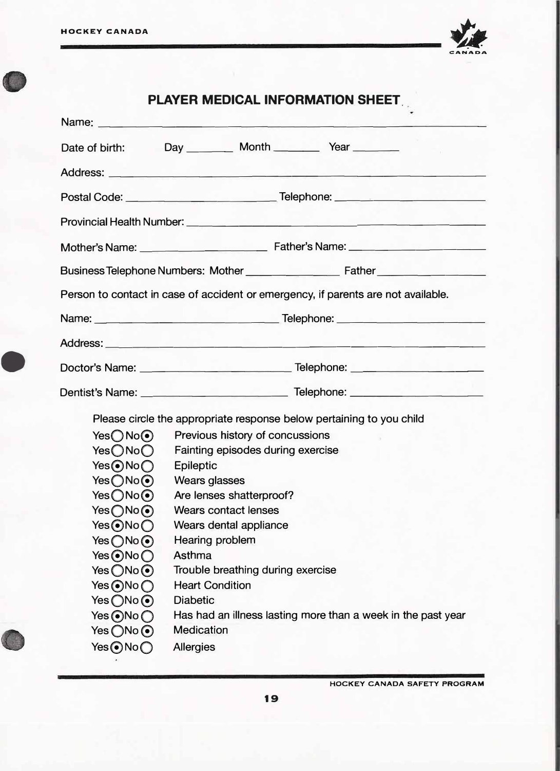•



## **PLAYER MEDICAL INFORMATION SHEET,**

|                              | Name: Name: Name: Name: Name: Name: Name: Name: Name: Name: Name: Name: Name: Name: Name: Name: Name: Name: Name: Name: Name: Name: Name: Name: Name: Name: Name: Name: Name: Name: Name: Name: Name: Name: Name: Name: Name: |  |  |
|------------------------------|-------------------------------------------------------------------------------------------------------------------------------------------------------------------------------------------------------------------------------|--|--|
| Date of birth:               | Day _________ Month _________ Year _______                                                                                                                                                                                    |  |  |
|                              |                                                                                                                                                                                                                               |  |  |
|                              |                                                                                                                                                                                                                               |  |  |
|                              | Provincial Health Number: <u>Communications</u> and the contract of the contract of the contract of the contract of the                                                                                                       |  |  |
|                              |                                                                                                                                                                                                                               |  |  |
|                              |                                                                                                                                                                                                                               |  |  |
|                              | Person to contact in case of accident or emergency, if parents are not available.                                                                                                                                             |  |  |
|                              | Name: Name: Name: Name: Name: Name: Name: Name: Name: Name: Name: Name: Name: Name: Name: Name: Name: Name: Name: Name: Name: Name: Name: Name: Name: Name: Name: Name: Name: Name: Name: Name: Name: Name: Name: Name: Name: |  |  |
|                              |                                                                                                                                                                                                                               |  |  |
|                              |                                                                                                                                                                                                                               |  |  |
|                              |                                                                                                                                                                                                                               |  |  |
|                              | Please circle the appropriate response below pertaining to you child                                                                                                                                                          |  |  |
| Yes()No()                    | Previous history of concussions                                                                                                                                                                                               |  |  |
| YesONo                       | Fainting episodes during exercise                                                                                                                                                                                             |  |  |
| Yes⊙No∩                      | <b>Epileptic</b>                                                                                                                                                                                                              |  |  |
| Yes ONo <sup>O</sup>         | <b>Wears glasses</b>                                                                                                                                                                                                          |  |  |
| YesONo                       | Are lenses shatterproof?                                                                                                                                                                                                      |  |  |
| Yes()No()                    | Wears contact lenses                                                                                                                                                                                                          |  |  |
| Yes <b>⊙</b> No○             | Wears dental appliance                                                                                                                                                                                                        |  |  |
| $Yes \bigcirc No \bigcirc$   | Hearing problem                                                                                                                                                                                                               |  |  |
| Yes@No@                      | Asthma                                                                                                                                                                                                                        |  |  |
| Yes $\bigcirc$ No $\odot$    | Trouble breathing during exercise                                                                                                                                                                                             |  |  |
| Yes $\bigcirc$ No $\bigcirc$ | <b>Heart Condition</b>                                                                                                                                                                                                        |  |  |
| Yes $\bigcirc$ No $\odot$    | <b>Diabetic</b>                                                                                                                                                                                                               |  |  |
|                              | Has had an illness lasting more than a week in the past year                                                                                                                                                                  |  |  |
| Yes $\bigcirc$ No $\odot$    | <b>Medication</b>                                                                                                                                                                                                             |  |  |
|                              | <b>Allergies</b>                                                                                                                                                                                                              |  |  |

**HOCKEY CANADA SAFETY PROGRAM**